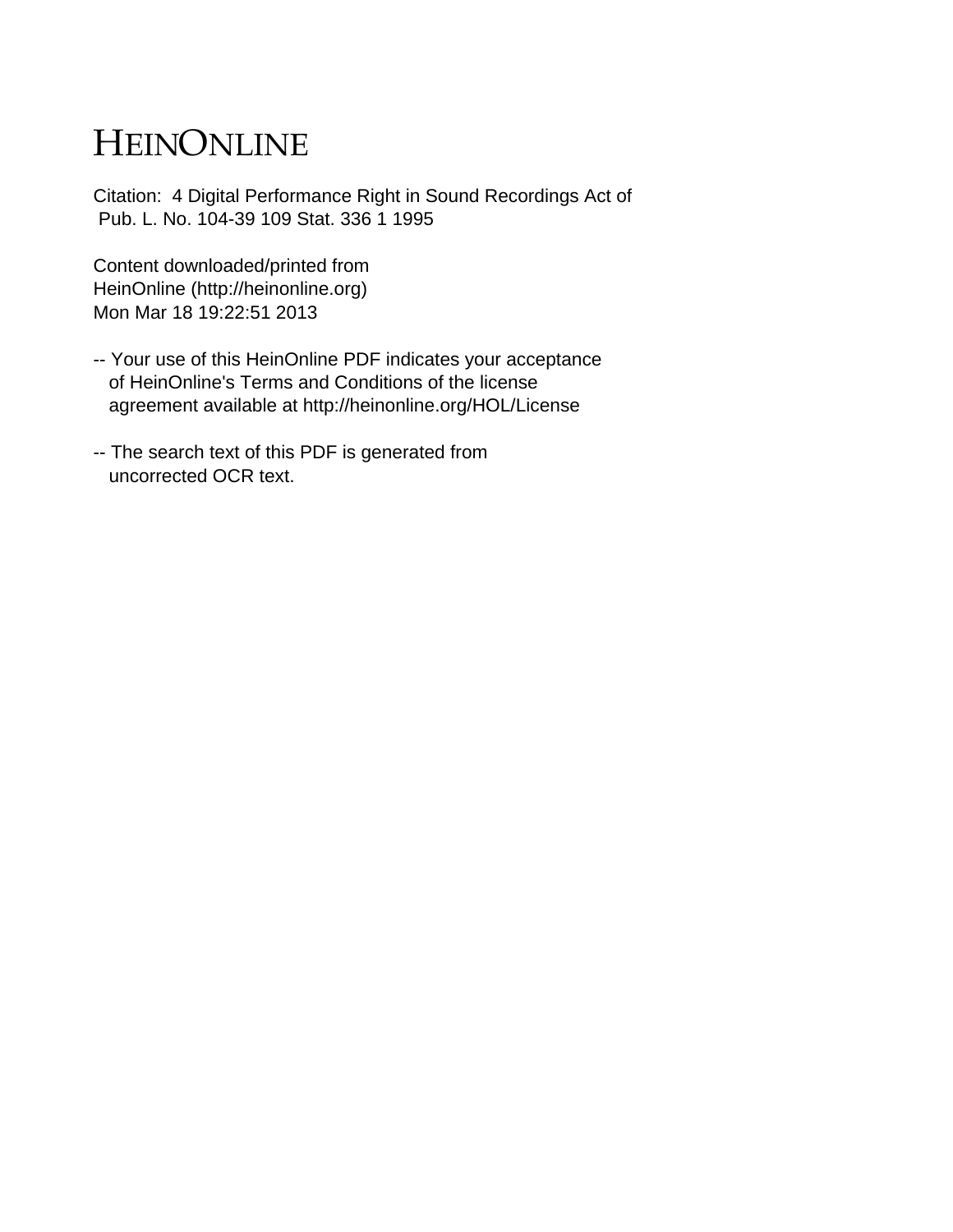# HEINONLINE

Citation: 4 Digital Performance Right in Sound Recordings Act of Pub. L. No. 104-39 109 Stat. 336 1 1995

Content downloaded/printed from HeinOnline (http://heinonline.org) Mon Mar 18 19:22:51 2013

- -- Your use of this HeinOnline PDF indicates your acceptance of HeinOnline's Terms and Conditions of the license agreement available at http://heinonline.org/HOL/License
- -- The search text of this PDF is generated from uncorrected OCR text.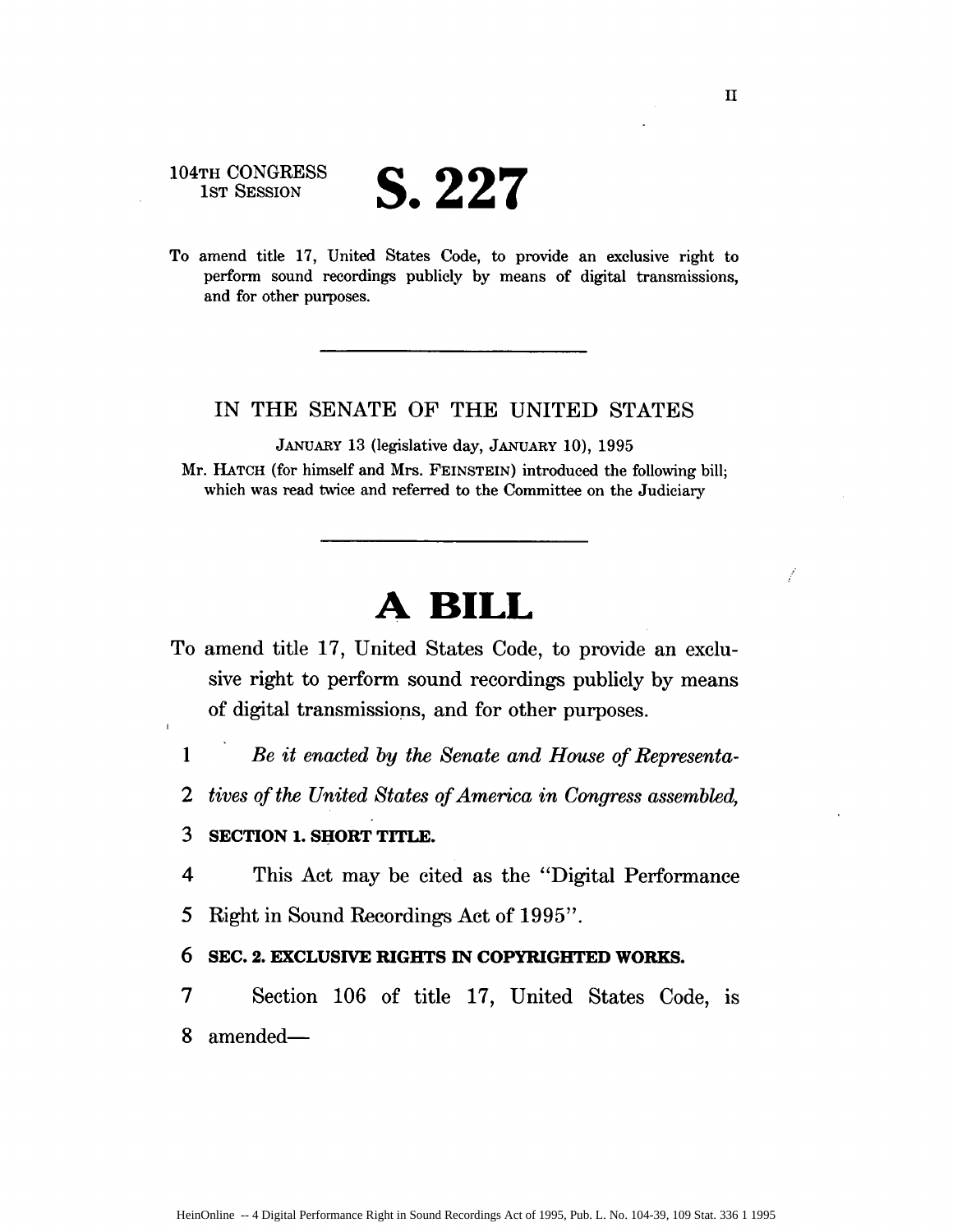104TH CONGRESS<br>1st Session

# **S. 227**

To amend title **17,** United States Code, to provide an exclusive right to perform sound recordings publicly by means of digital transmissions, and for other purposes.

# IN THE SENATE OF THE UNITED STATES

JANUARY 13 (legislative day, JANUARY **10), 1995** Mr. HATCH (for himself and Mrs. FEINSTEIN) introduced the following bill; which was read twice and referred to the Committee on the Judiciary

# **A BILL**

- To amend title 17, United States Code, to provide an exclusive right to perform sound recordings publicly by means of digital transmissions, and for other purposes.
	- *1 Be it enacted by the Senate and House of Representa-*
	- 2 *tives of the United States of America in Congress assembled,*

## **3 SECTION 1. SHORT TITLE.**

 $\mathbf{I}$ 

- 4 This Act may be cited as the "Digital Performance
- *5* Right in Sound Recordings Act of 1995".
- 6 **SEC. 2. EXCLUSIVE RIGHTS IN COPYRIGHTED WORKS.**
- **7** Section **106** of title **17,** United States Code, is 8 amended-

L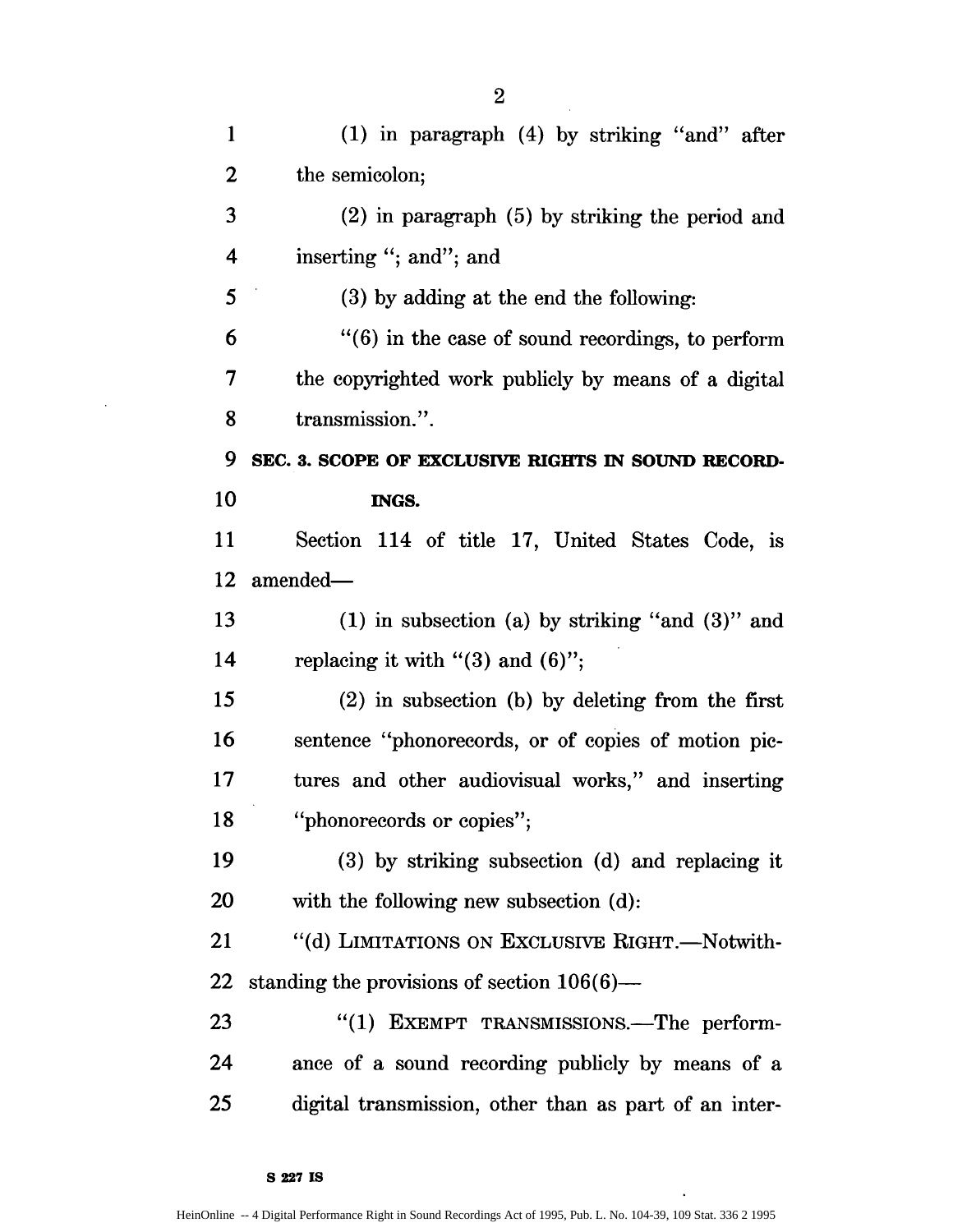| $\mathbf{1}$ | $(1)$ in paragraph $(4)$ by striking "and" after      |
|--------------|-------------------------------------------------------|
| $\mathbf 2$  | the semicolon;                                        |
| 3            | $(2)$ in paragraph $(5)$ by striking the period and   |
| 4            | inserting "; and"; and                                |
| 5            | (3) by adding at the end the following:               |
| 6            | "(6) in the case of sound recordings, to perform      |
| 7            | the copyrighted work publicly by means of a digital   |
| 8            | transmission.".                                       |
| 9            | SEC. 3. SCOPE OF EXCLUSIVE RIGHTS IN SOUND RECORD-    |
| 10           | INGS.                                                 |
| 11           | Section 114 of title 17, United States Code, is       |
| 12           | amended-                                              |
| 13           | (1) in subsection (a) by striking "and $(3)$ " and    |
| 14           | replacing it with " $(3)$ and $(6)$ ";                |
| 15           | $(2)$ in subsection (b) by deleting from the first    |
| 16           | sentence "phonorecords, or of copies of motion pic-   |
| 17           | tures and other audiovisual works," and inserting     |
| 18           | "phonorecords or copies";                             |
| 19           | (3) by striking subsection (d) and replacing it       |
| 20           | with the following new subsection (d):                |
| 21           | "(d) LIMITATIONS ON EXCLUSIVE RIGHT.-Notwith-         |
| 22           | standing the provisions of section $106(6)$ —         |
| 23           | "(1) EXEMPT TRANSMISSIONS.—The perform-               |
| 24           | ance of a sound recording publicly by means of a      |
| 25           | digital transmission, other than as part of an inter- |

 $\bar{\mathcal{A}}$ 

HeinOnline -- 4 Digital Performance Right in Sound Recordings Act of 1995, Pub. L. No. 104-39, 109 Stat. 336 2 1995

 $\bullet$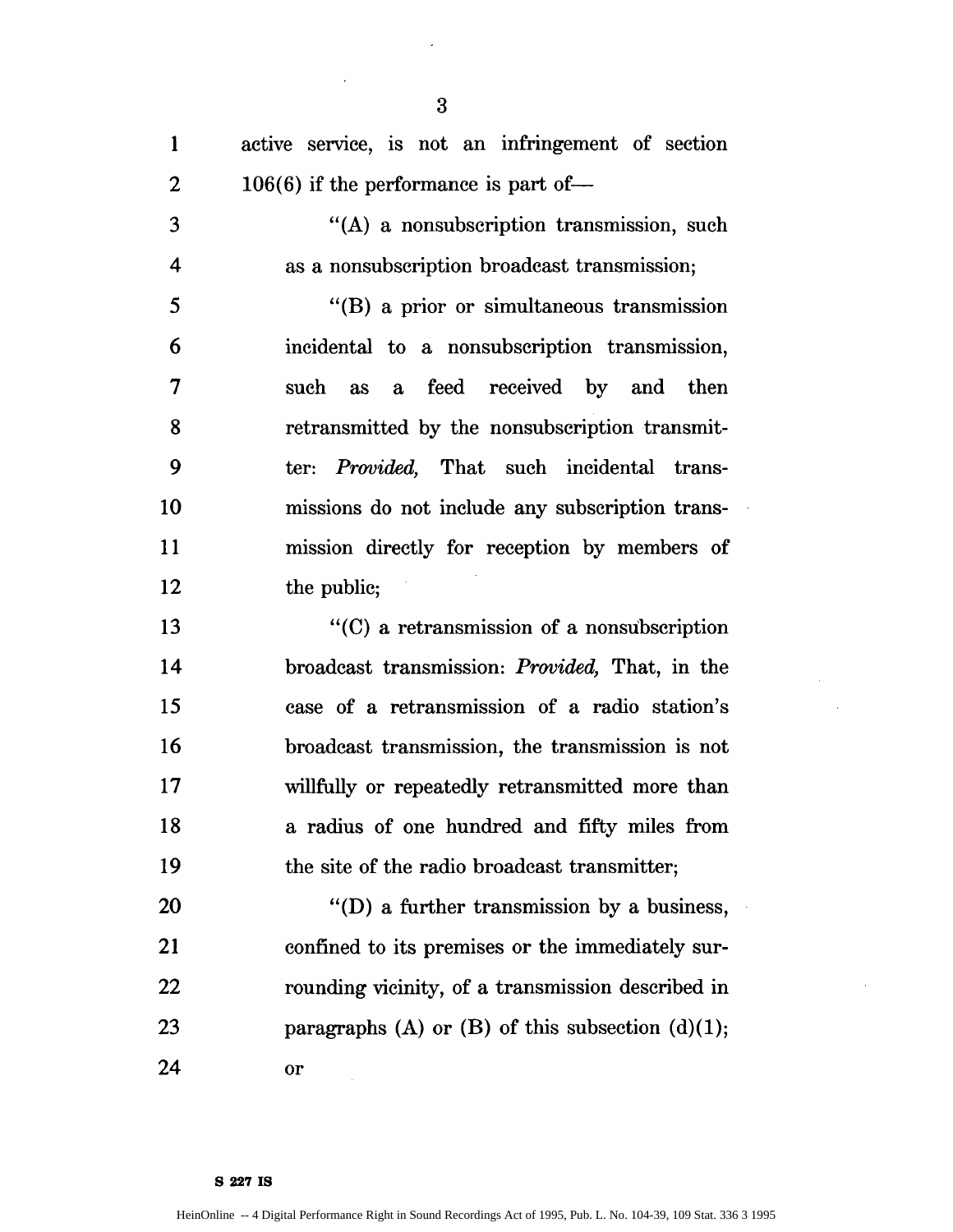| active service, is not an infringement of section |
|---------------------------------------------------|
| $106(6)$ if the performance is part of-           |
| "(A) a nonsubscription transmission, such         |
| as a nonsubscription broadcast transmission;      |
| "(B) a prior or simultaneous transmission         |
| incidental to a nonsubscription transmission,     |
| a feed received by and then<br>such as            |
| retransmitted by the nonsubscription transmit-    |
| ter: Provided, That such incidental trans-        |
| missions do not include any subscription trans-   |
| mission directly for reception by members of      |
| the public;                                       |
| $\cdot$ (C) a retransmission of a nonsubscription |
| broadcast transmission: Provided, That, in the    |
| case of a retransmission of a radio station's     |
| broadcast transmission, the transmission is not   |
| willfully or repeatedly retransmitted more than   |
| a radius of one hundred and fifty miles from      |
| the site of the radio broadcast transmitter;      |
| $\lq$ (D) a further transmission by a business,   |
| confined to its premises or the immediately sur-  |
| rounding vicinity, of a transmission described in |
|                                                   |
|                                                   |

 $\mathcal{A}^{\mathcal{A}}$ 

 $\sim$ 

 $\mathcal{L}_{\mathcal{A}}$ 

 $\ddot{\phantom{a}}$ 

24 or

**S 227 IS**

 $\hat{\mathcal{A}}$ 

3

 $\bar{\mathcal{A}}$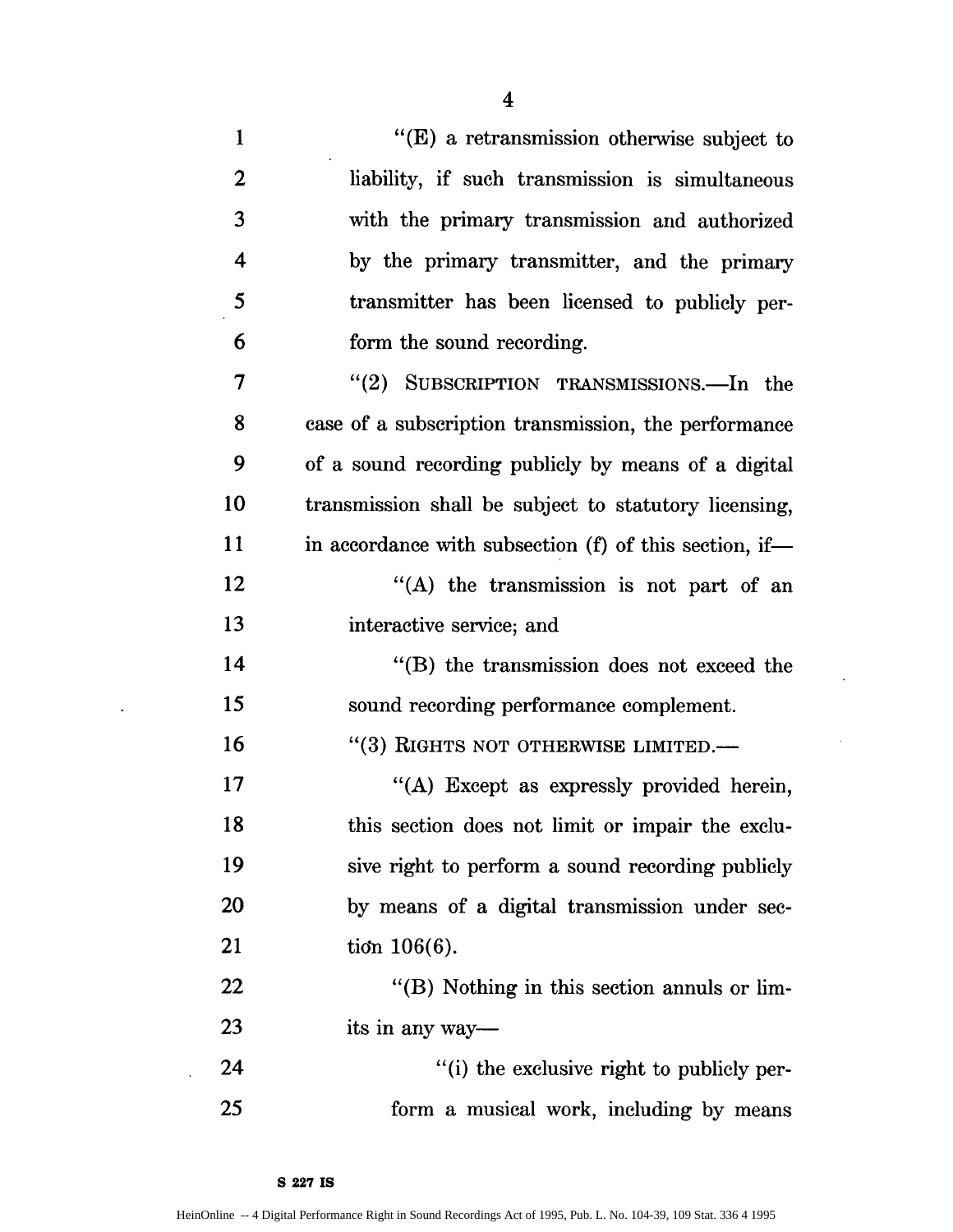| $\mathbf{1}$     | "(E) a retransmission otherwise subject to             |
|------------------|--------------------------------------------------------|
| $\boldsymbol{2}$ | liability, if such transmission is simultaneous        |
| 3                | with the primary transmission and authorized           |
| 4                | by the primary transmitter, and the primary            |
| 5                | transmitter has been licensed to publicly per-         |
| 6                | form the sound recording.                              |
| 7                | "(2) SUBSCRIPTION TRANSMISSIONS.—In the                |
| 8                | case of a subscription transmission, the performance   |
| 9                | of a sound recording publicly by means of a digital    |
| 10               | transmission shall be subject to statutory licensing,  |
| 11               | in accordance with subsection (f) of this section, if— |
| 12               | "(A) the transmission is not part of an                |
| 13               | interactive service; and                               |
| 14               | "(B) the transmission does not exceed the              |
| 15               | sound recording performance complement.                |
| 16               | "(3) RIGHTS NOT OTHERWISE LIMITED.-                    |
| 17               | "(A) Except as expressly provided herein,              |
| 18               | this section does not limit or impair the exclu-       |
| 19               | sive right to perform a sound recording publicly       |
| 20               | by means of a digital transmission under sec-          |
| 21               | tion $106(6)$ .                                        |
| 22               | "(B) Nothing in this section annuls or lim-            |
| 23               | its in any way—                                        |
| 24               | "(i) the exclusive right to publicly per-              |
| 25               | form a musical work, including by means                |

#### **S 227 IS**

 $\bar{\mathcal{A}}$ 

 $\mathcal{L}_{\mathcal{A}}$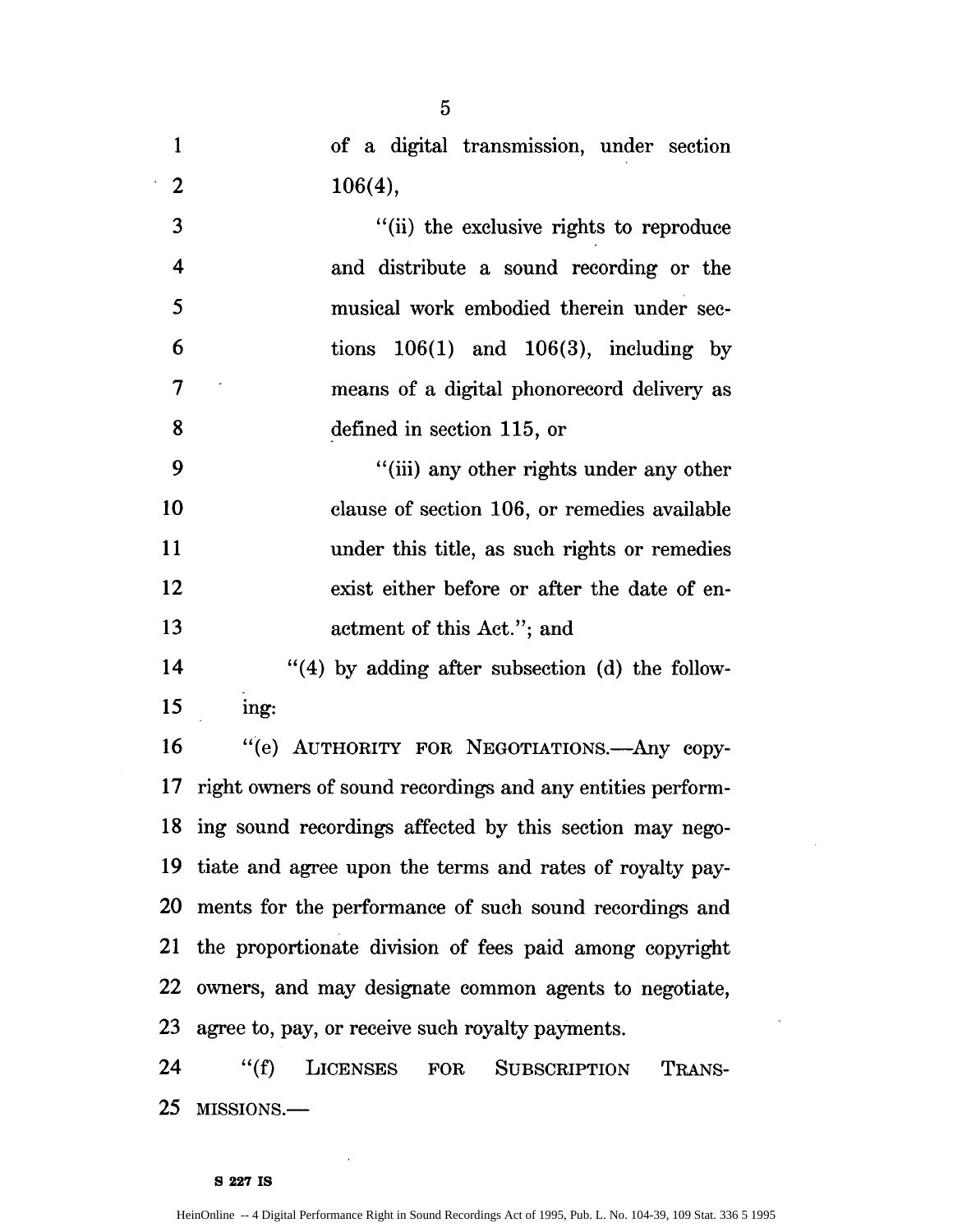| $\mathbf{1}$            | of a digital transmission, under section                      |
|-------------------------|---------------------------------------------------------------|
| $\boldsymbol{2}$        | 106(4),                                                       |
| 3                       | "(ii) the exclusive rights to reproduce                       |
| $\overline{\mathbf{4}}$ | and distribute a sound recording or the                       |
| 5                       | musical work embodied therein under sec-                      |
| 6                       | tions $106(1)$ and $106(3)$ , including by                    |
| 7                       | means of a digital phonorecord delivery as                    |
| 8                       | defined in section 115, or                                    |
| 9                       | "(iii) any other rights under any other                       |
| 10                      | clause of section 106, or remedies available                  |
| 11                      | under this title, as such rights or remedies                  |
| 12                      | exist either before or after the date of en-                  |
| 13                      | actment of this Act."; and                                    |
| 14                      | $\lq(4)$ by adding after subsection (d) the follow-           |
| 15                      | ing:                                                          |
| 16                      | "(e) AUTHORITY FOR NEGOTIATIONS .- Any copy-                  |
|                         | 17 right owners of sound recordings and any entities perform- |
|                         | 18 ing sound recordings affected by this section may nego-    |
| 19                      | tiate and agree upon the terms and rates of royalty pay-      |
| 20                      | ments for the performance of such sound recordings and        |
| 21                      | the proportionate division of fees paid among copyright       |
| 22                      | owners, and may designate common agents to negotiate,         |
| 23                      | agree to, pay, or receive such royalty payments.              |
| 24                      | ``(f)<br>LICENSES FOR<br><b>SUBSCRIPTION</b><br>TRANS-        |
| 25                      | MISSIONS.-                                                    |

5

## **S 227 IS**

 $\mathcal{L}^{\text{max}}_{\text{max}}$  and  $\mathcal{L}^{\text{max}}_{\text{max}}$ 

 $\sim 10$ 

 $\sim$   $\sim$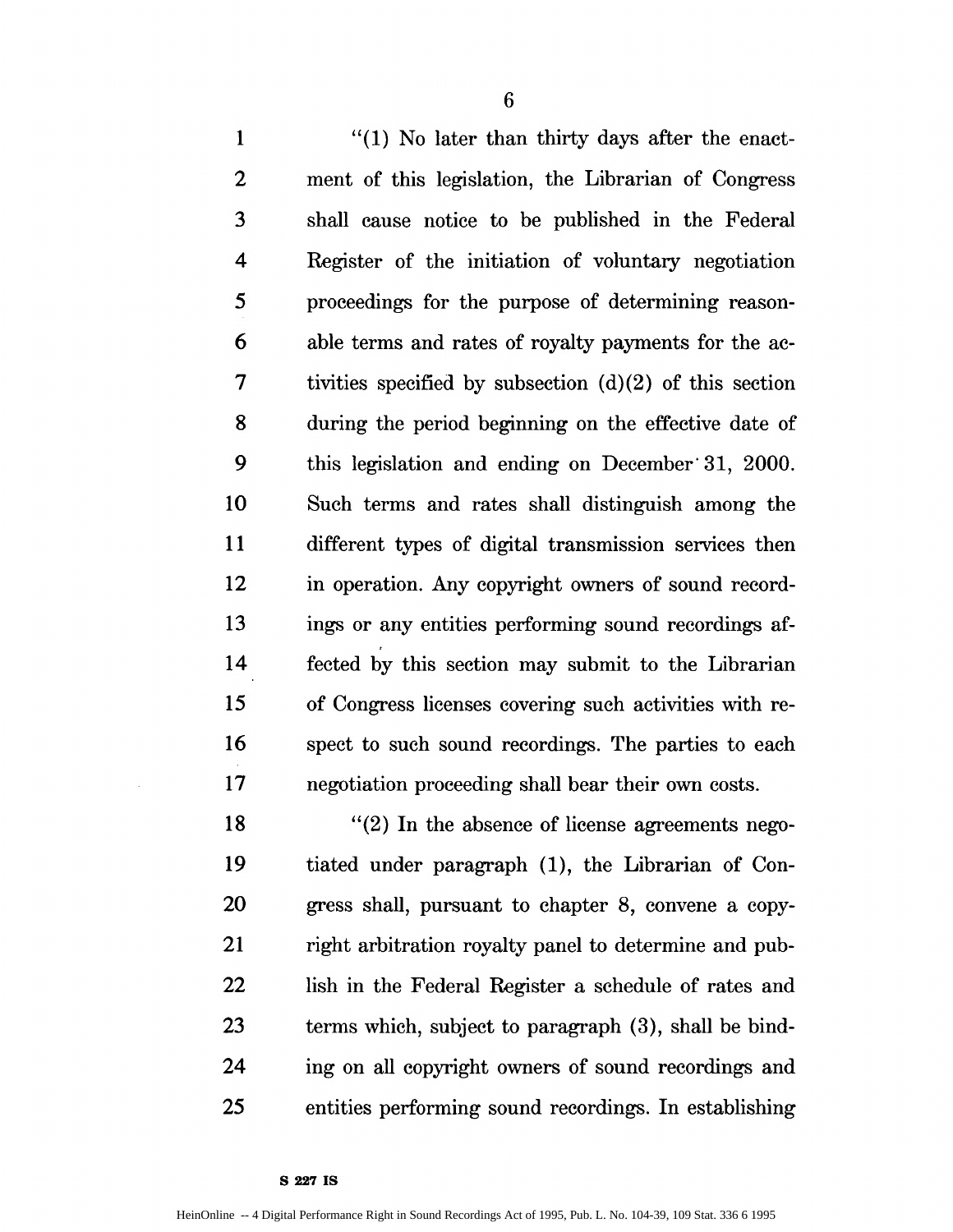$\frac{1}{1}$  (1) No later than thirty days after the enact-2 ment of this legislation, the Librarian of Congress 3 shall cause notice to be published in the Federal 4 Register of the initiation of voluntary negotiation 5 proceedings for the purpose of determining reason-**6** able terms and rates of royalty payments for the ac-7 tivities specified by subsection (d)(2) of this section 8 during the period beginning on the effective date of 9 this legislation and ending on December 31, 2000. 10 Such terms and rates shall distinguish among the **11** different types of digital transmission services then 12 in operation. Any copyright owners of sound record-13 ings or any entities performing sound recordings af-14 fected by this section may submit to the Librarian 15 of Congress licenses covering such activities with re-**16** spect to such sound recordings. The parties to each 17 negotiation proceeding shall bear their own costs.

18 "(2) In the absence of license agreements nego-19 tiated under paragraph (1), the Librarian of Con-20 gress shall, pursuant to chapter 8, convene a copy-21 right arbitration royalty panel to determine and pub-22 lish in the Federal Register a schedule of rates and 23 terms which, subject to paragraph (3), shall be bind-24 ing on all copyright owners of sound recordings and 25 entities performing sound recordings. In establishing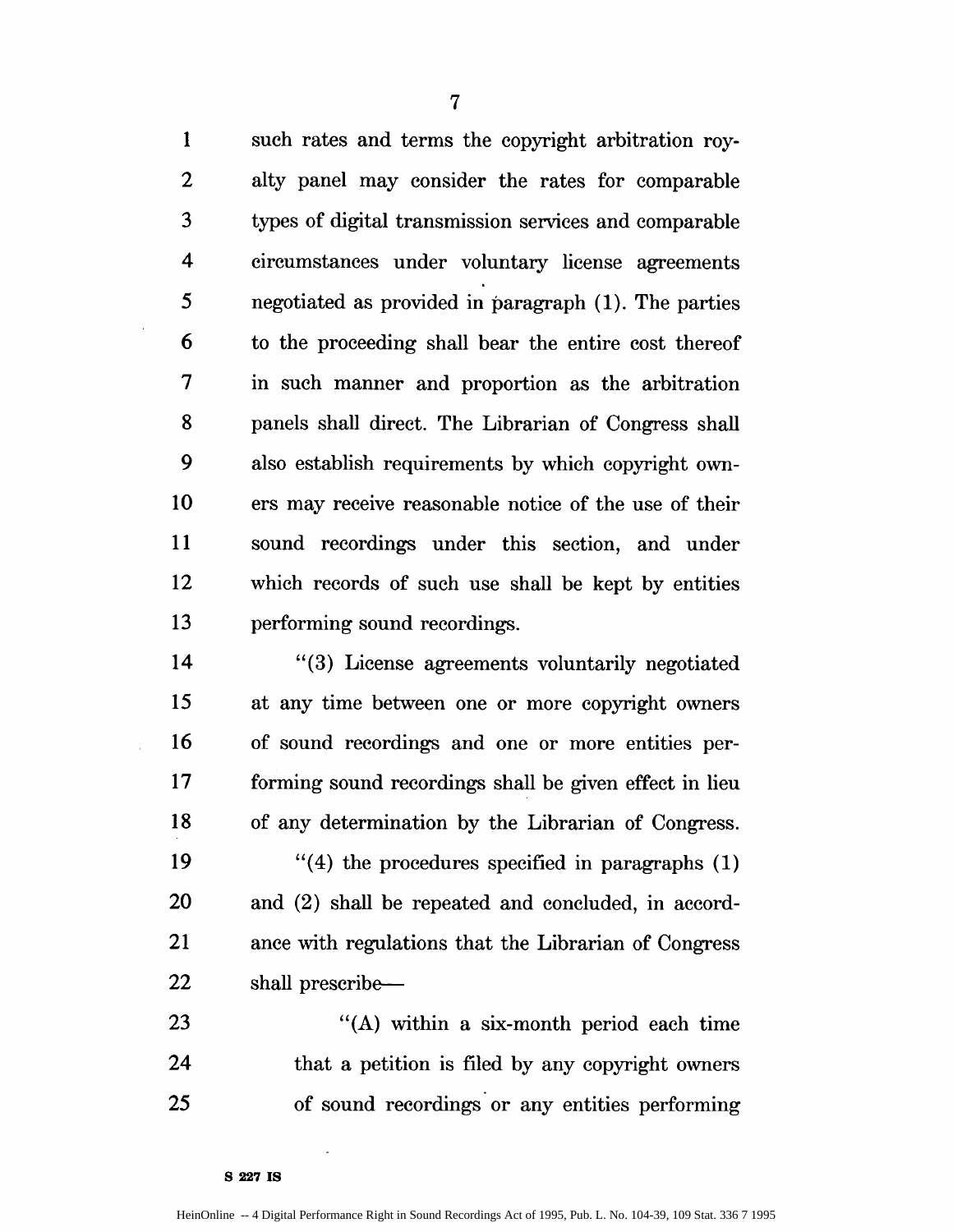1 such rates and terms the copyright arbitration roy-2 alty panel may consider the rates for comparable 3 types of digital transmission services and comparable 4 circumstances under voluntary license agreements 5 negotiated as provided in paragraph (1). The parties 6 to the proceeding shall bear the entire cost thereof 7 in such manner and proportion as the arbitration 8 panels shall direct. The Librarian of Congress shall 9 also establish requirements by which copyright own-10 ers may receive reasonable notice of the use of their **<sup>11</sup>**sound recordings under this section, and under 12 which records of such use shall be kept by entities 13 performing sound recordings.

14 "(3) License agreements voluntarily negotiated 15 at any time between one or more copyright owners 16 of sound recordings and one or more entities per-17 forming sound recordings shall be given effect in lieu 18 of any determination by the Librarian of Congress.

19 "(4) the procedures specified in paragraphs (1) 20 and (2) shall be repeated and concluded, in accord-21 ance with regulations that the Librarian of Congress 22 shall prescribe—

23  $((A)$  within a six-month period each time 24 that a petition is filed by any copyright owners 25 of sound recordings or any entities performing

**S 227 IS**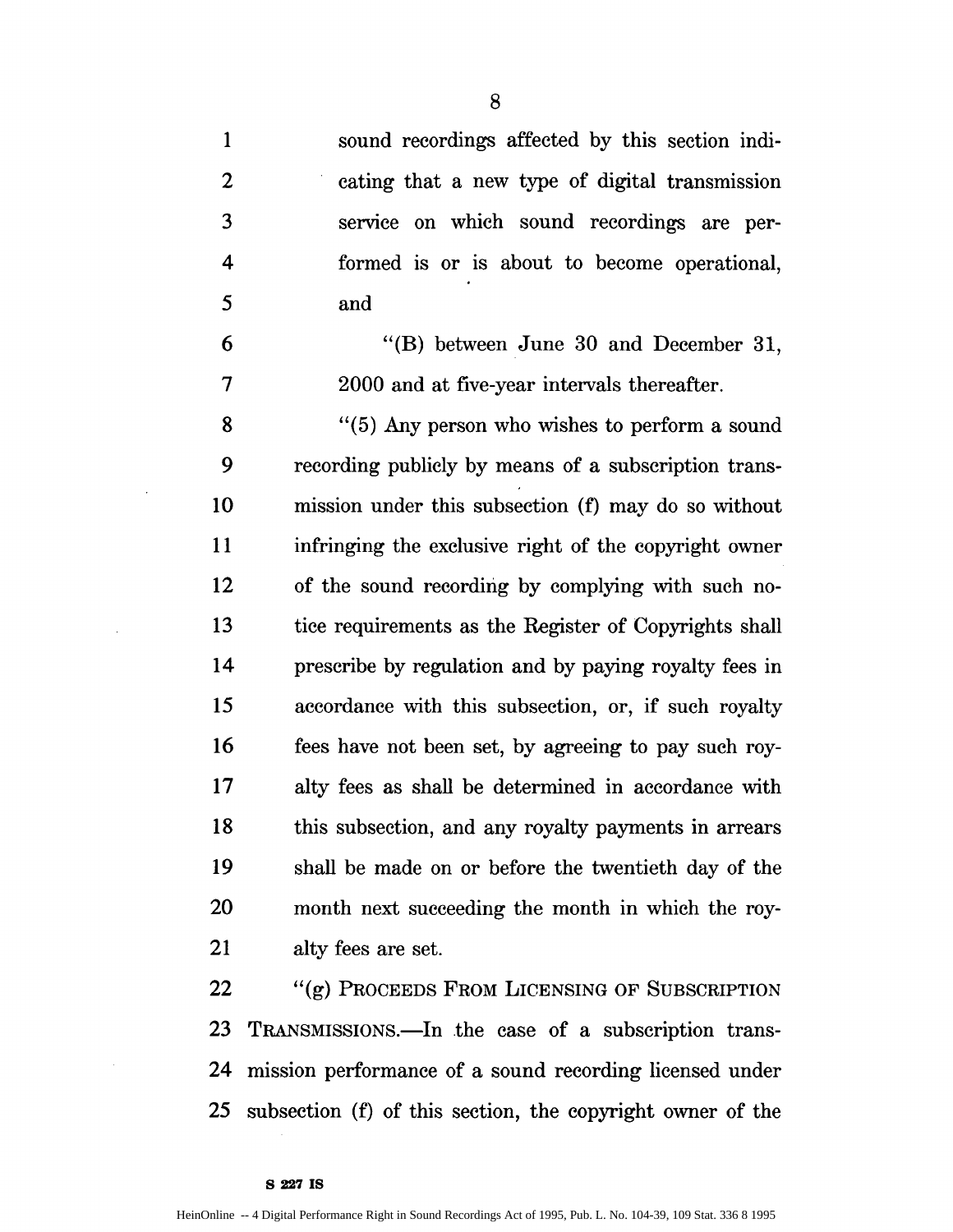| $\mathbf 1$      | sound recordings affected by this section indi-         |
|------------------|---------------------------------------------------------|
| $\boldsymbol{2}$ | cating that a new type of digital transmission          |
| 3                | service on which sound recordings are per-              |
| 4                | formed is or is about to become operational,            |
| 5                | and                                                     |
| 6                | "(B) between June 30 and December 31,                   |
| 7                | 2000 and at five-year intervals thereafter.             |
| 8                | $\cdot$ (5) Any person who wishes to perform a sound    |
| 9                | recording publicly by means of a subscription trans-    |
| 10               | mission under this subsection (f) may do so without     |
| 11               | infringing the exclusive right of the copyright owner   |
| 12               | of the sound recording by complying with such no-       |
| 13               | tice requirements as the Register of Copyrights shall   |
| 14               | prescribe by regulation and by paying royalty fees in   |
| 15               | accordance with this subsection, or, if such royalty    |
| 16               | fees have not been set, by agreeing to pay such roy-    |
| 17               | alty fees as shall be determined in accordance with     |
| 18               | this subsection, and any royalty payments in arrears    |
| 19               | shall be made on or before the twentieth day of the     |
| <b>20</b>        | month next succeeding the month in which the roy-       |
| 21               | alty fees are set.                                      |
| 22               | "(g) PROCEEDS FROM LICENSING OF SUBSCRIPTION            |
| 23               | TRANSMISSIONS.—In the case of a subscription trans-     |
| 24               | mission performance of a sound recording licensed under |

25 subsection (f) of this section, the copyright owner of the

#### **S 227 IS**

 $\sim$   $\sim$ 

 $\bar{z}$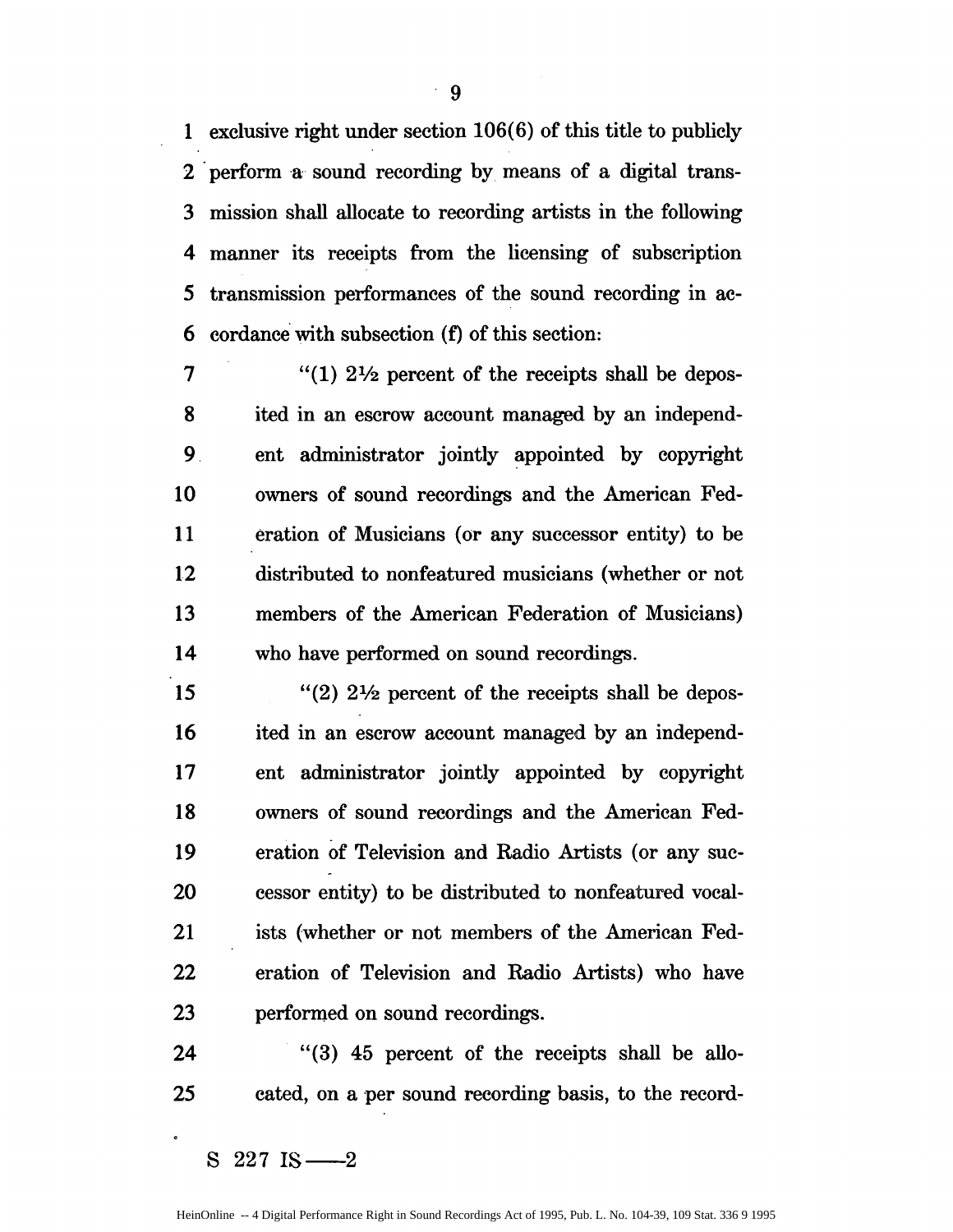1 exclusive right under section 106(6) of this title to publicly 2 perform a sound recording by means of a digital trans-3 mission shall allocate to recording artists in the following 4 manner its receipts from the licensing of subscription 5 transmission performances of the sound recording in ac-6 cordance with subsection (f) of this section:

**7** "(1) 2<sup>1</sup>/<sub>2</sub> percent of the receipts shall be depos-8 ited in an escrow account managed by an independ-9 ent administrator jointly appointed by copyright 10 owners of sound recordings and the American Fed-11 eration of Musicians (or any successor entity) to be 12 distributed to nonfeatured musicians (whether or not 13 members of the American Federation of Musicians) 14 who have performed on sound recordings.

15 "(2)  $2\frac{1}{2}$  percent of the receipts shall be depos-16 ited in an escrow account managed by an independ-17 ent administrator jointly appointed by copyright 18 owners of sound recordings and the American Fed-19 eration of Television and Radio Artists (or any suc-20 cessor entity) to be distributed to nonfeatured vocal-21 ists (whether or not members of the American Fed-22 eration of Television and Radio Artists) who have 23 performed on sound recordings.

24 "(3) 45 percent of the receipts shall be allo-25 cated, on a per sound recording basis, to the record-

 $S$  227 IS  $-2$ 

 $\epsilon$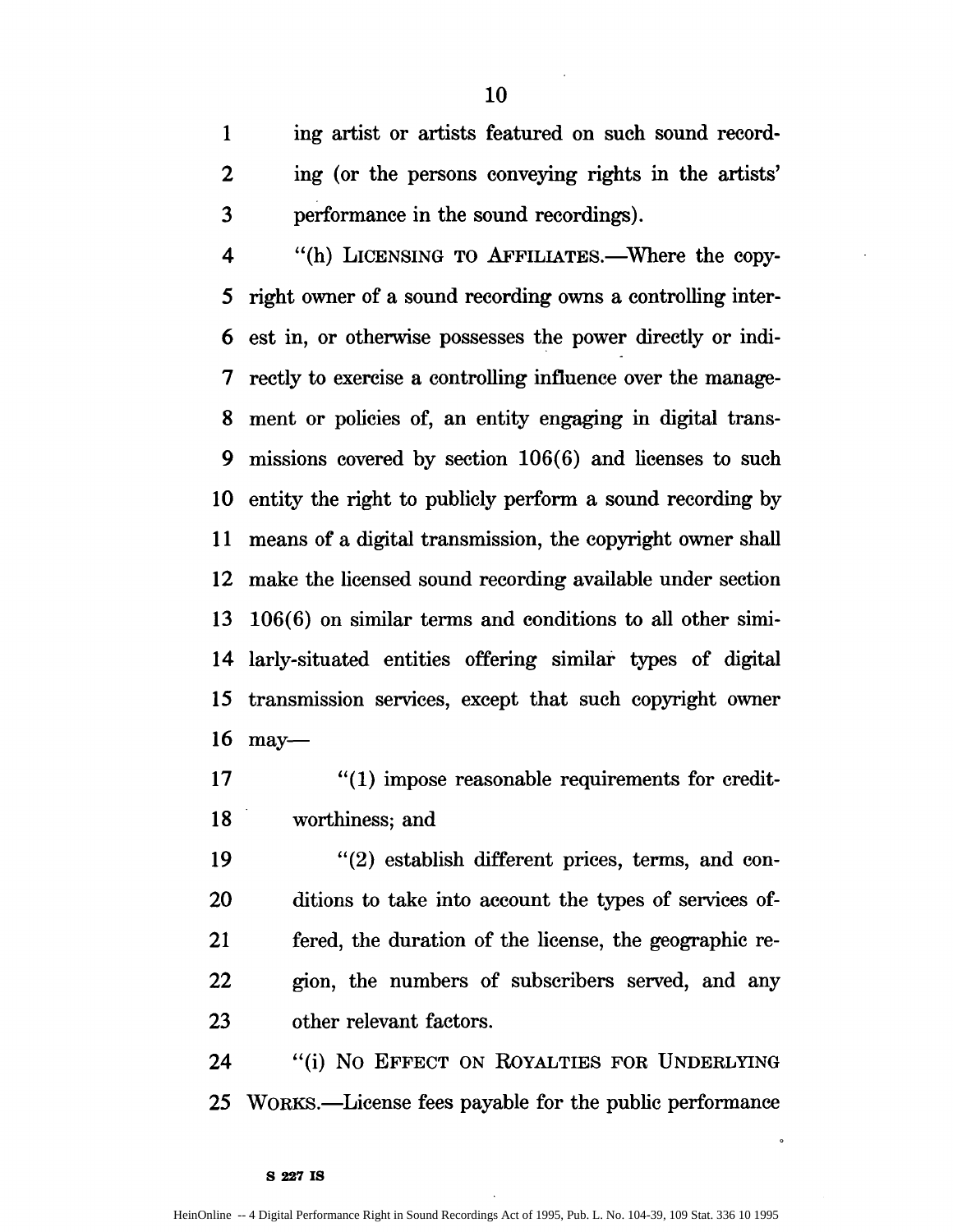1 ing artist or artists featured on such sound record-2 ing (or the persons conveying rights in the artists' 3 performance in the sound recordings).

4 "(h) LICENSING TO AFFILIATES.—Where the copy-5 right owner of a sound recording owns a controlling inter-**6** est in, or otherwise possesses the power directly or indi-7 rectly to exercise a controlling influence over the manage-8 ment or policies of, an entity engaging in digital trans-9 missions covered by section 106(6) and licenses to such 10 entity the right to publicly perform a sound recording by 11 means of a digital transmission, the copyright owner shall 12 make the licensed sound recording available under section 13 106(6) on similar terms and conditions to all other simi-14 larly-situated entities offering similar types of digital 15 transmission services, except that such copyright owner 16 may-

17 "(1) impose reasonable requirements for credit-18 worthiness; and

19 "(2) establish different prices, terms, and con-20 ditions to take into account the types of services of-21 fered, the duration of the license, the geographic re-22 gion, the numbers of subscribers served, and any 23 other relevant factors.

24 "(i) No EFFECT ON ROYALTIES FOR UNDERLYING 25 WORKS.—License fees payable for the public performance

## 10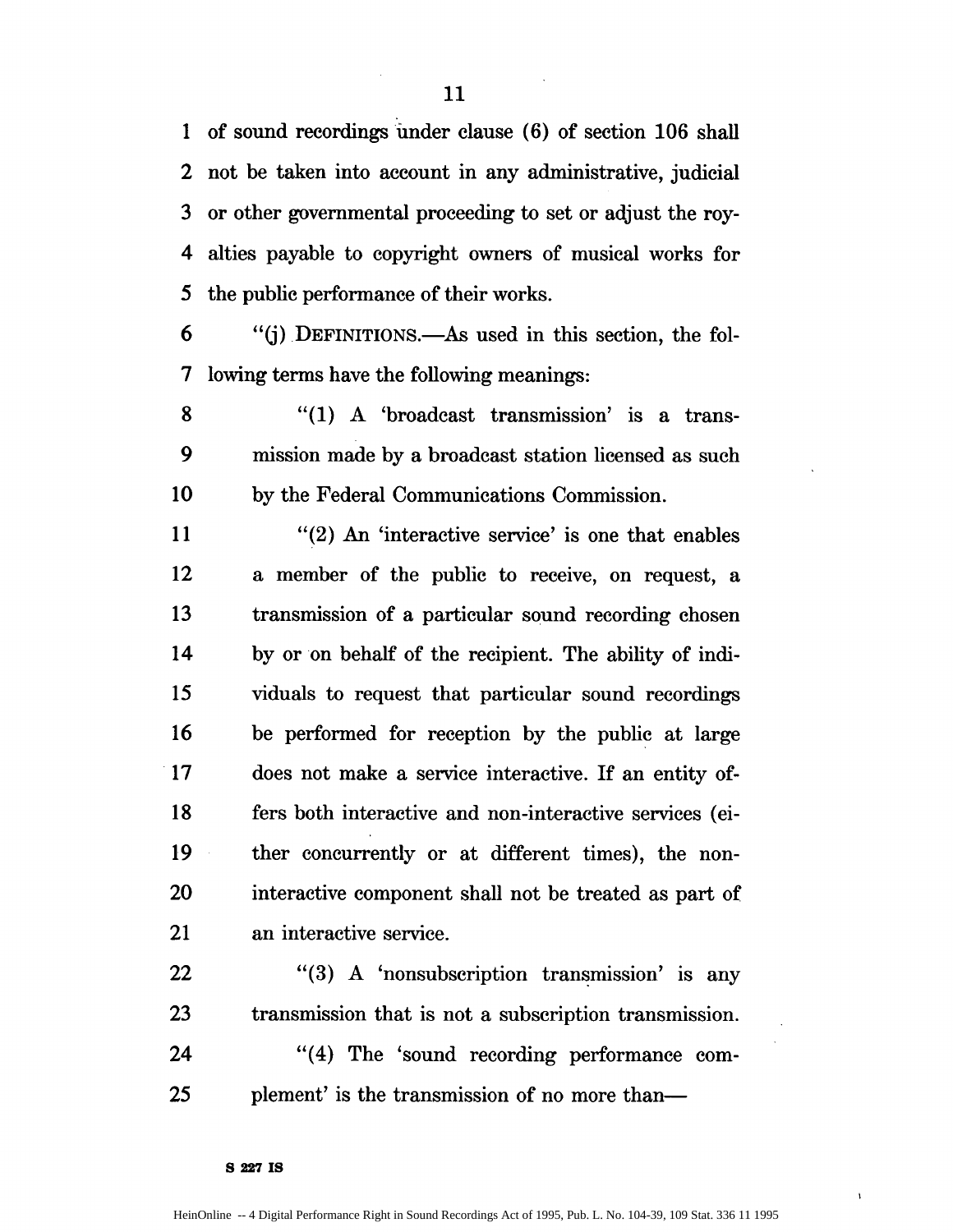1 of sound recordings under clause (6) of section **106** shall 2 not be taken into account in any administrative, judicial 3 or other governmental proceeding to set or adjust the roy-4 alties payable to copyright owners of musical works for **5** the public performance of their works.

6 "(j) DEFINITIONS.-As used in this section, the fol-7 lowing terms have the following meanings:

 $8$  "(1) A 'broadcast transmission' is a trans-9 mission made by a broadcast station licensed as such 10 by the Federal Communications Commission.

11 "(2) An 'interactive service' is one that enables 12 a member of the public to receive, on request, a 13 transmission of a particular sound recording chosen 14 by or on behalf of the recipient. The ability of indi-**15** viduals to request that particular sound recordings 16 be performed for reception by the public at large 17 does not make a service interactive. If an entity of-18 fers both interactive and non-interactive services (ei-19 ther concurrently or at different times), the non-20 interactive component shall not be treated as part of 21 an interactive service.

22 "(3) A 'nonsubscription transmission' is any 23 transmission that is not a subscription transmission. 24 "(4) The 'sound recording performance com-25 **plement'** is the transmission of no more than-

**S 227 IS**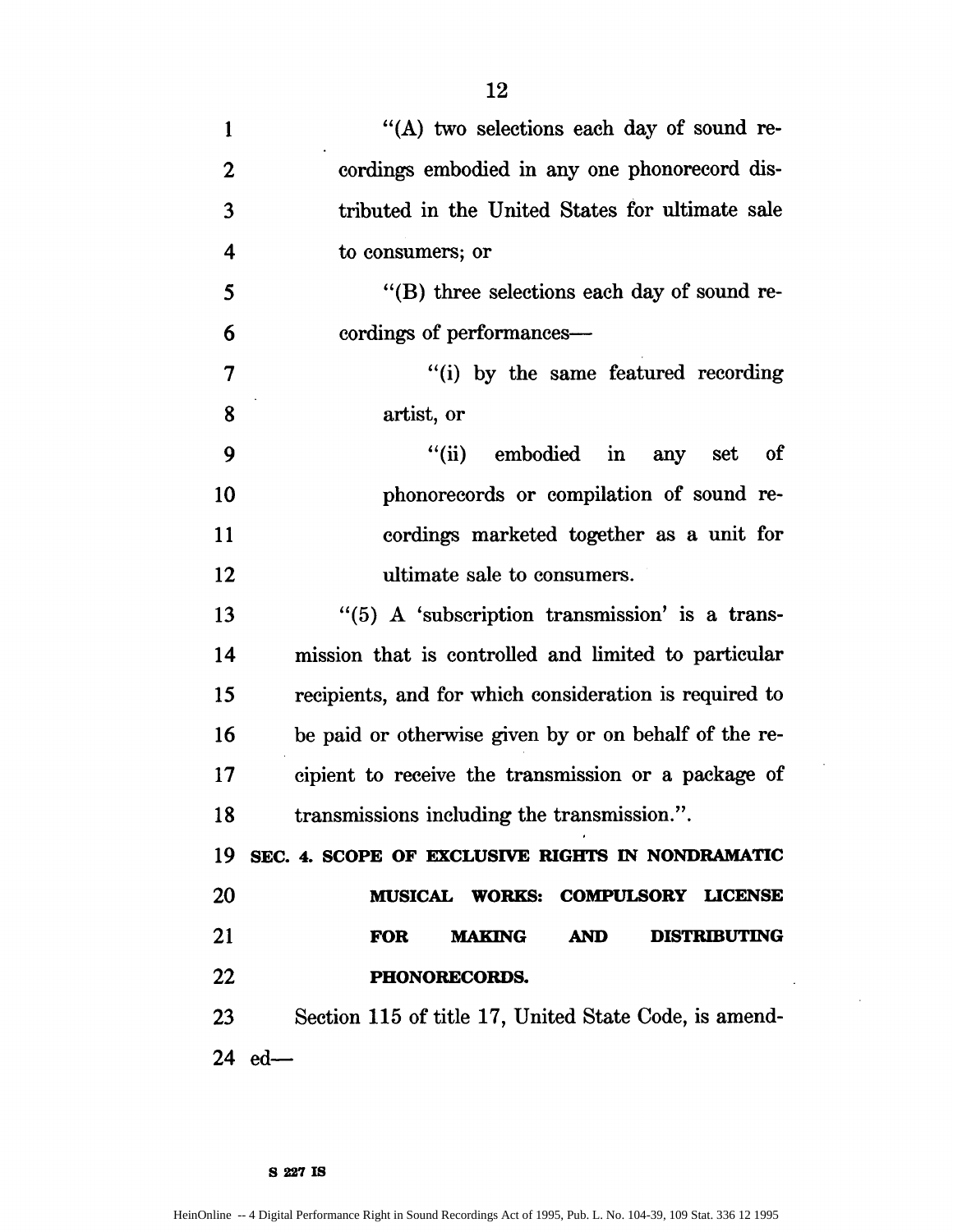**1** "(A) two selections each day of sound re-2 cordings embodied in any one phonorecord dis-3 tributed in the United States for ultimate sale 4 to consumers; or 5 "(B) three selections each day of sound re-**6 cordings of performances—** 7 "(i) by the same featured recording **8** artist, or 9 "(ii) embodied in any set of 10 phonorecords or compilation of sound re-11 cordings marketed together as a unit for 12 ultimate sale to consumers. 13 "(5) A 'subscription transmission' is a trans-14 mission that is controlled and limited to particular 15 recipients, and for which consideration is required to **16** be paid or otherwise given by or on behalf of the re-17 cipient to receive the transmission or a package of **18** transmissions including the transmission.".

**19 SEC. 4. SCOPE OF EXCLUSIVE RIGHTS IN NONDRAMATIC MUSICAL WORKS: COMPULSORY LICENSE FOR MAKING AND DISTRIBUTING PHONORECORDS.**

**23** Section 115 of title **17,** United State Code, is amend- $24$  ed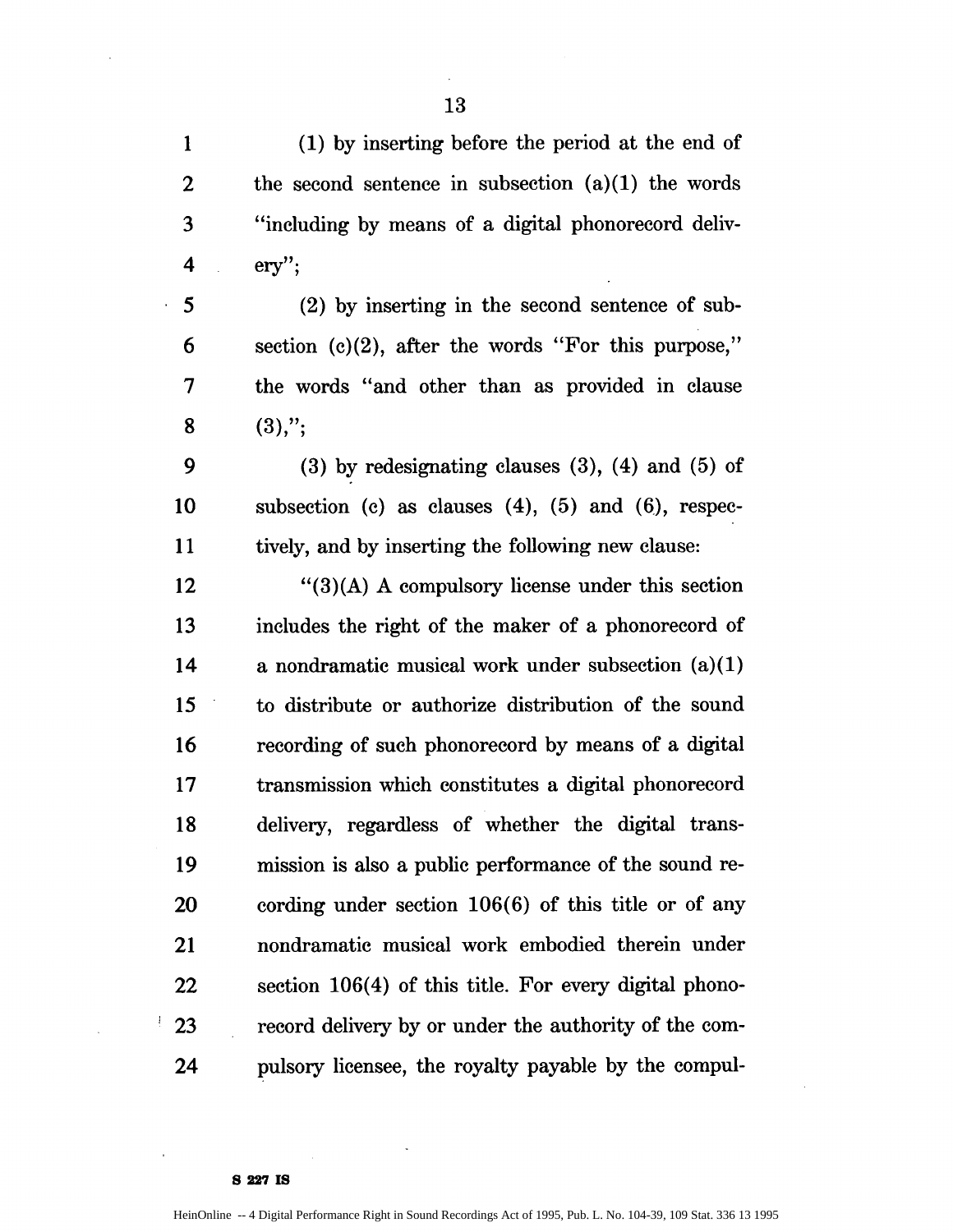1 **(1)** by inserting before the period at the end of 2 the second sentence in subsection (a)(1) the words 3 "including by means of a digital phonorecord deliv-4 ery";

5 (2) by inserting in the second sentence of sub-6 section  $(c)(2)$ , after the words "For this purpose," 7 the words "and other than as provided in clause **8 (3),";**

9 (3) by redesignating clauses  $(3)$ ,  $(4)$  and  $(5)$  of 10 subsection (c) as clauses (4), (5) and (6), respec-11 tively, and by inserting the following new clause:

12  $\frac{12}{3}(A)$  A compulsory license under this section 13 includes the right of the maker of a phonorecord of 14 a nondramatic musical work under subsection (a)(1) 15 to distribute or authorize distribution of the sound 16 recording of such phonorecord by means of a digital 17 transmission which constitutes a digital phonorecord 18 delivery, regardless of whether the digital trans-19 mission is also a public performance of the sound re-20 cording under section 106(6) of this title or of any 21 nondramatic musical work embodied therein under 22 section 106(4) of this title. For every digital phono-23 record delivery by or under the authority of the com-24 pulsory licensee, the royalty payable by the compul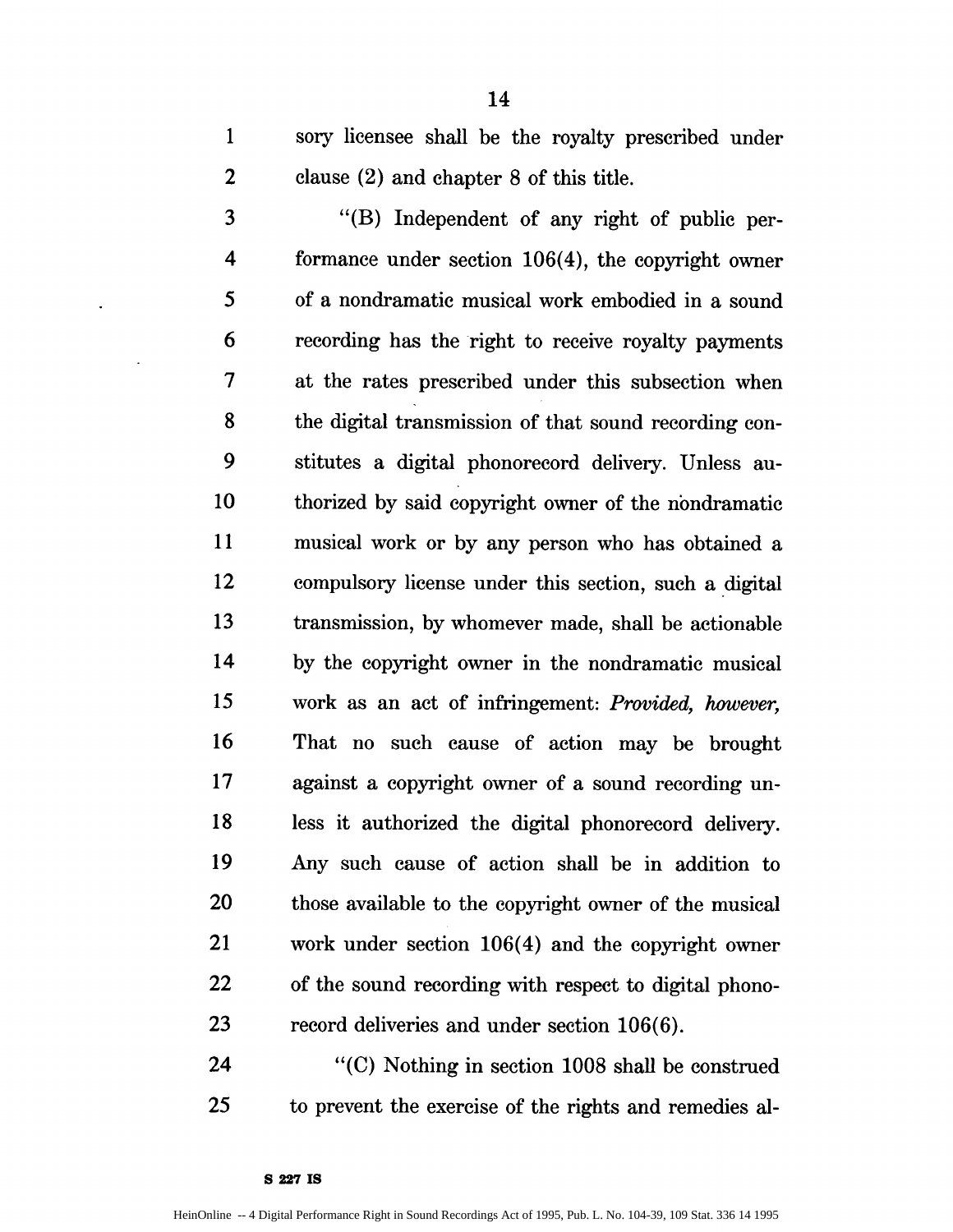1 sory licensee shall be the royalty prescribed under 2 clause (2) and chapter 8 of this title.

3 "(B) Independent of any right of public per-4 formance under section 106(4), the copyright owner 5 of a nondramatic musical work embodied in a sound 6 recording has the right to receive royalty payments 7 at the rates prescribed under this subsection when 8 the digital transmission of that sound recording con-9 stitutes a digital phonorecord delivery. Unless au-10 thorized by said copyright owner of the nondramatic 11 musical work or by any person who has obtained a 12 compulsory license under this section, such a digital 13 transmission, by whomever made, shall be actionable 14 by the copyright owner in the nondramatic musical 15 work as an act of infringement: *Provided, however,* 16 That no such cause of action may be brought 17 against a copyright owner of a sound recording un-18 less it authorized the digital phonorecord delivery. 19 Any such cause of action shall be in addition to 20 those available to the copyright owner of the musical 21 work under section 106(4) and the copyright owner 22 of the sound recording with respect to digital phono-23 record deliveries and under section 106(6).

24 "(C) Nothing in section 1008 shall be construed 25 to prevent the exercise of the rights and remedies al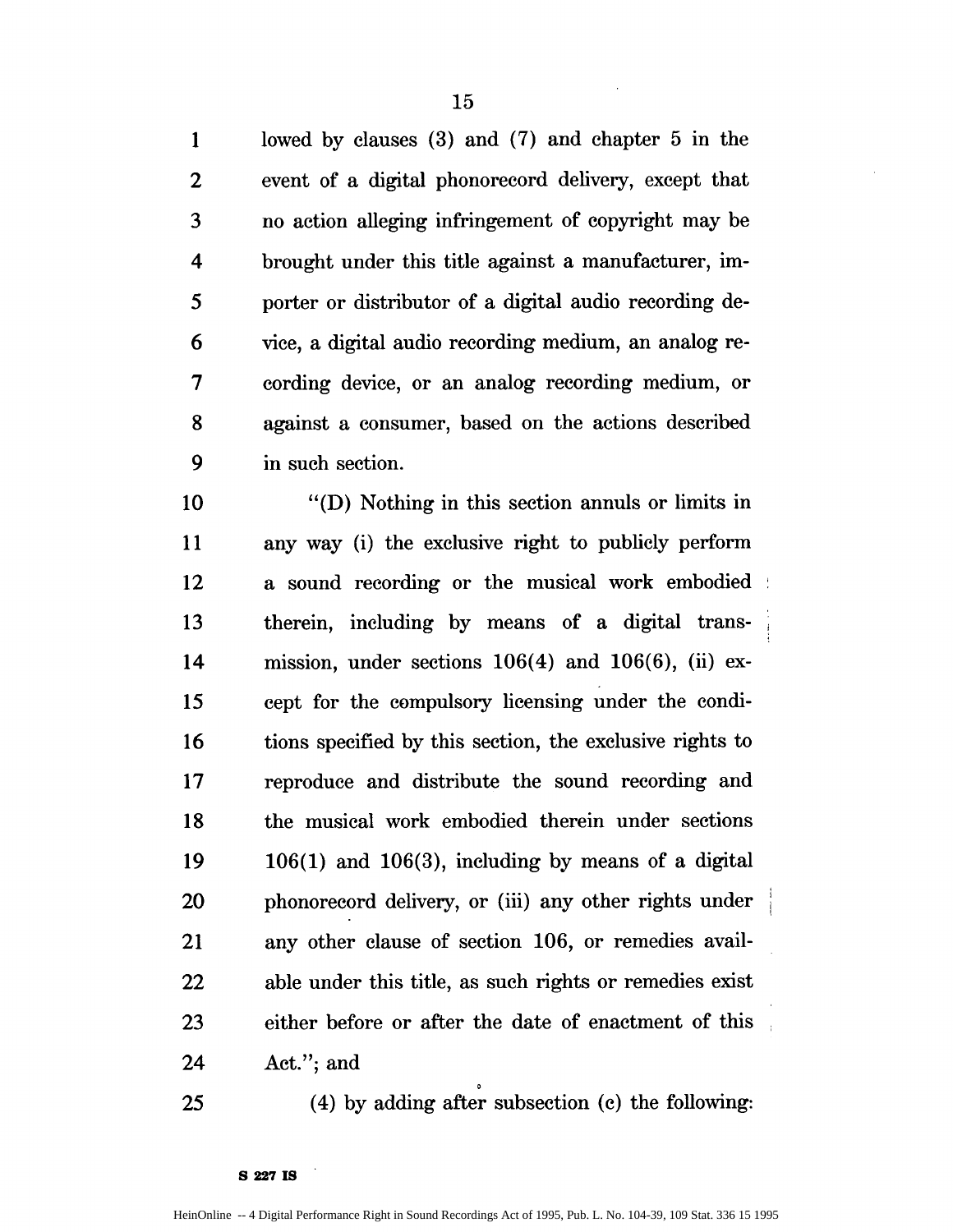1 lowed by clauses (3) and (7) and chapter 5 in the 2 event of a digital phonorecord delivery, except that 3 no action alleging infringement of copyright may be 4 brought under this title against a manufacturer, im-5 porter or distributor of a digital audio recording de-**6** vice, a digital audio recording medium, an analog re-7 cording device, or an analog recording medium, or 8 against a consumer, based on the actions described 9 in such section.

10 "(D) Nothing in this section annuls or limits in 11 any way (i) the exclusive right to publicly perform 12 a sound recording or the musical work embodied 13 therein, including by means of a digital trans-14 mission, under sections 106(4) and 106(6), (ii) ex-15 cept for the compulsory licensing under the condi-16 tions specified by this section, the exclusive rights to 17 reproduce and distribute the sound recording and 18 the musical work embodied therein under sections 19 106(1) and 106(3), including by means of a digital 20 phonorecord delivery, or (iii) any other rights under 21 any other clause of section 106, or remedies avail-22 able under this title, as such rights or remedies exist 23 either before or after the date of enactment of this 24 Act."; and

*25* (4) by adding after subsection (c) the following:

**2**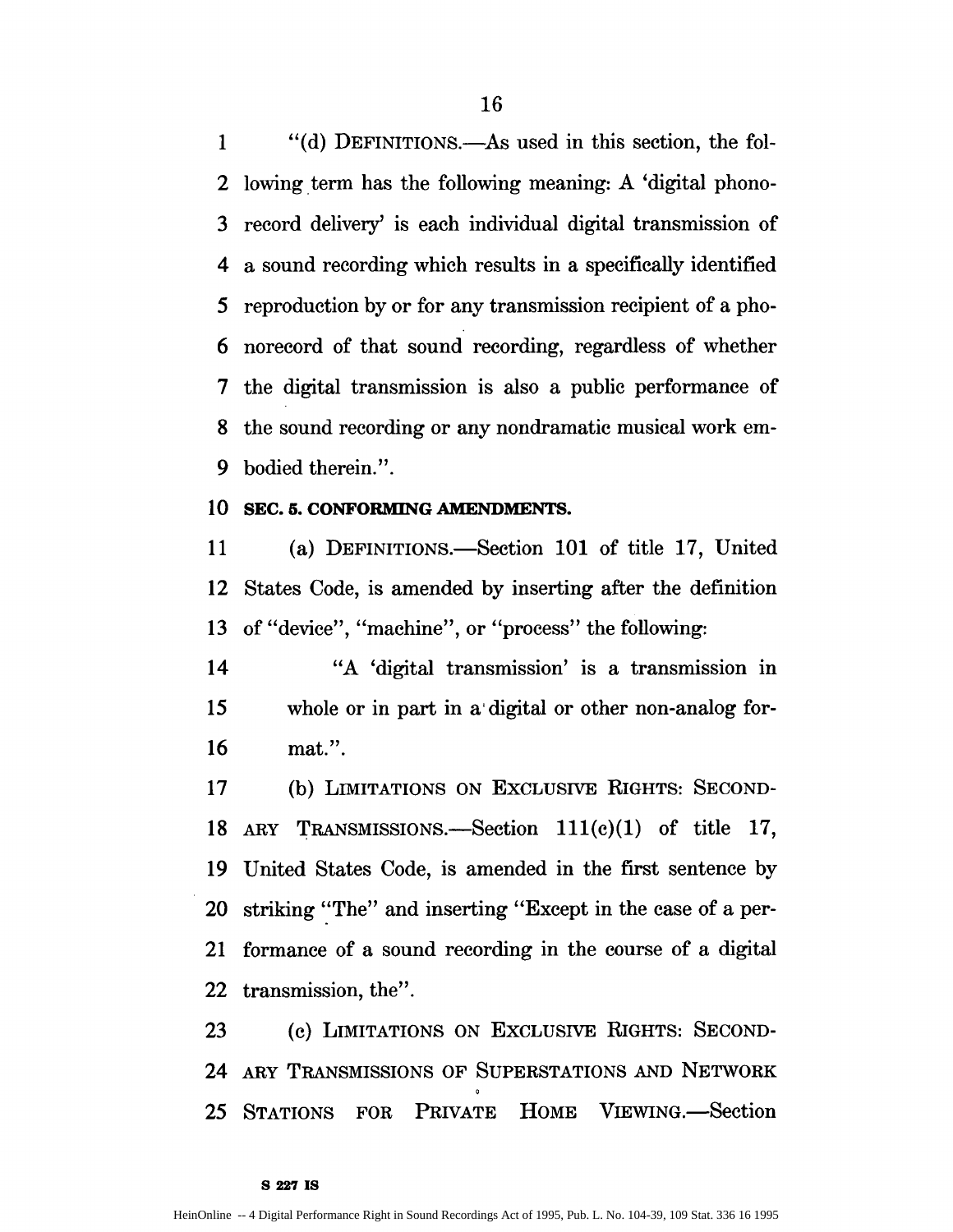1 "(d) DEFINITIONS.-AS used in this section, the fol-2 lowing term has the following meaning: A 'digital phono-3 record delivery' is each individual digital transmission of 4 a sound recording which results in a specifically identified 5 reproduction by or for any transmission recipient of a pho-**6** norecord of that sound recording, regardless of whether 7 the digital transmission is also a public performance of **8** the sound recording or any nondramatic musical work em-9 bodied therein.".

# **10 SEC. 5. CONFORMING AMENDMENTS.**

11 (a) DEFINITIONS.-Section 101 of title 17, United 12 States Code, is amended by inserting after the definition 13 of "device", "machine", or "process" the following:

14 "A 'digital transmission' is a transmission in 15 whole or in part in a' digital or other non-analog for-16 mat.".

17 **(b)** LIMITATIONS ON EXCLUSIVE RIGHTS: SECOND-**18** ARY TRANSMISSIONS.-Section 111(c)(1) of title 17, 19 United States Code, is amended in the first sentence by 20 striking "The" and inserting "Except in the case of a per-21 formance of a sound recording in the course of a digital 22 transmission, the".

23 **(c)** LIMITATIONS ON EXCLUSIVE RIGHTS: SECOND-24 ARY TRANSMISSIONS OF SUPERSTATIONS AND NETWORK 0 25 STATIONS FOR PRIVATE HOME VIEWING.-Section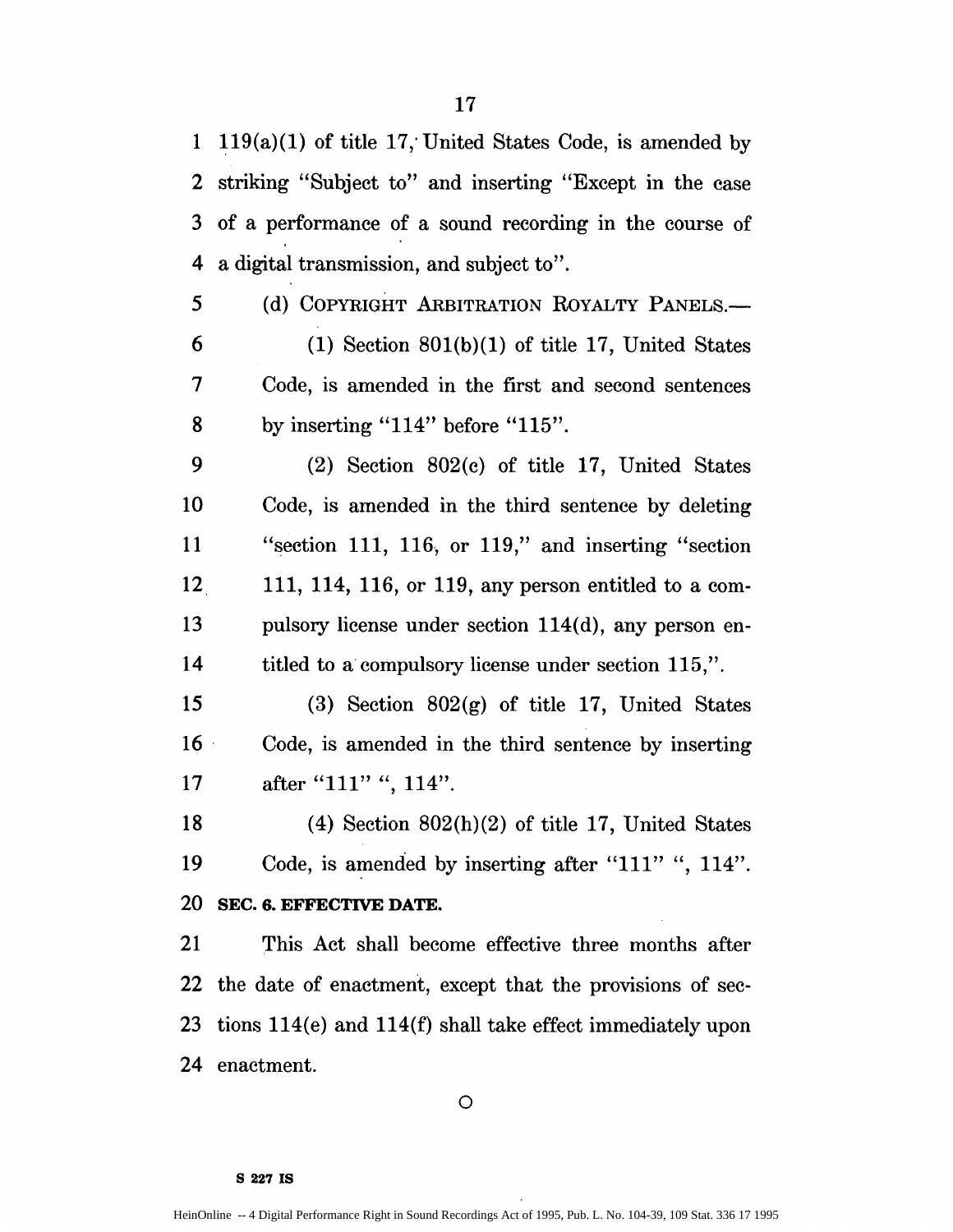1 119(a)(1) of title 17, United States Code, is amended by 2 striking "Subject to" and inserting "Except in the case 3 of a performance of a sound recording in the course of 4 a digital transmission, and subject to".

5 (d) COPYRIGHT ARBITRATION ROYALTY **PANELS.-**  $6$  (1) Section 801(b)(1) of title 17, United States 7 Code, is amended in the first and second sentences 8 by inserting "114" before "115".

9 (2) Section 802(c) of title 17, United States 10 Code, is amended in the third sentence by deleting **11** "section 111, 116, or 119," and inserting "section 12 111, 114, 116, or 119, any person entitled to a com-13 pulsory license under section 114(d), any person en-14 titled to a compulsory license under section 115,".

15 (3) Section  $802(g)$  of title 17, United States 16 Code, is amended in the third sentence by inserting 17 after "111" ", 114".

18 (4) Section  $802(h)(2)$  of title 17, United States 19 Code, is amended by inserting after "111" ", 114". 20 **SEC. 6. EFFECTIVE DATE.**

21 This Act shall become effective three months after 22 the date of enactment, except that the provisions of sec-23 tions 114(e) and 114(f) shall take effect immediately upon 24 enactment.

**0**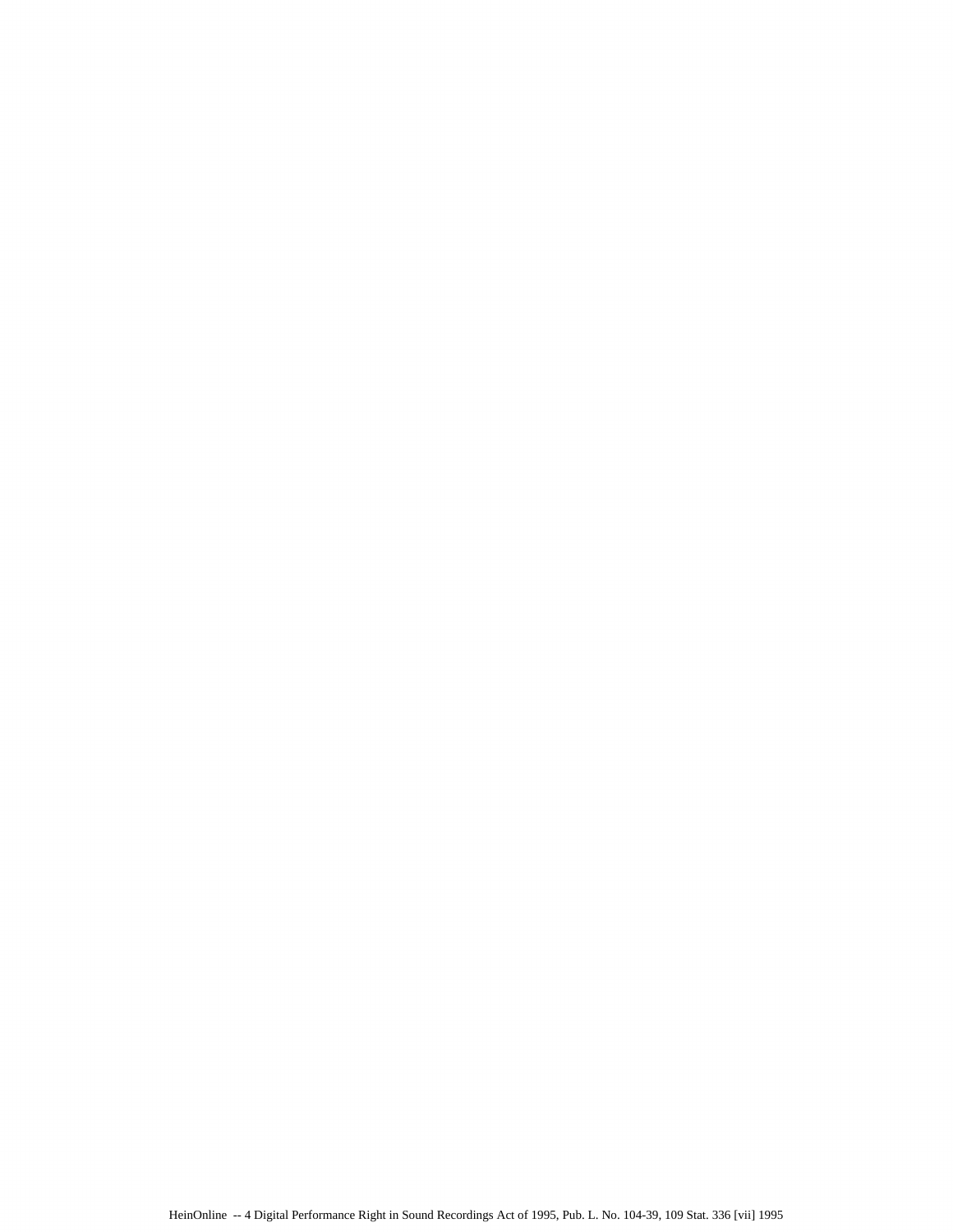HeinOnline -- 4 Digital Performance Right in Sound Recordings Act of 1995, Pub. L. No. 104-39, 109 Stat. 336 [vii] 1995